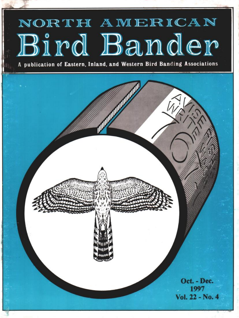# NORTH AMERICAN Bird Bander

**A publication of Eastern, Inland, and Western Bird Banding Associations**